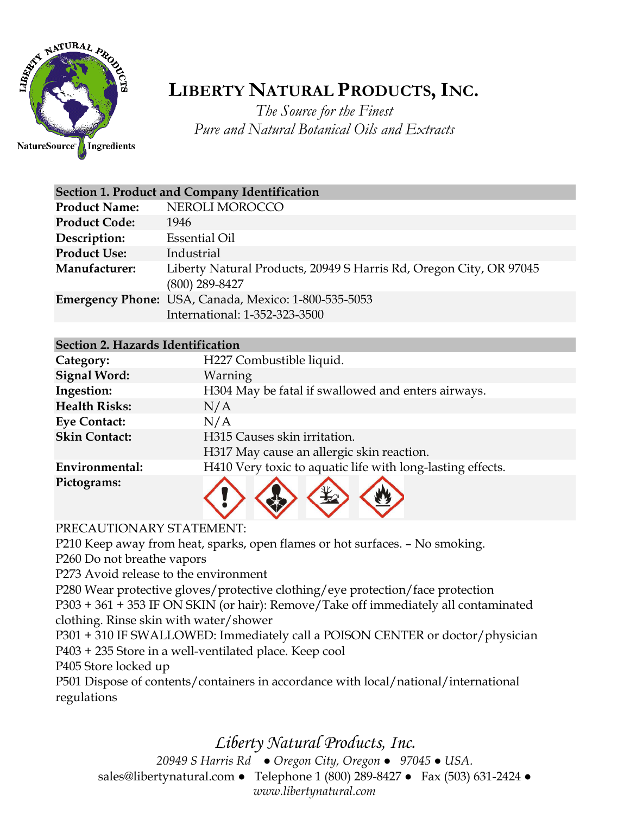

## **LIBERTY NATURAL PRODUCTS,INC.**

*The Source for the Finest Pure and Natural Botanical Oils and Extracts*

| <b>Section 1. Product and Company Identification</b> |                                                                                       |  |
|------------------------------------------------------|---------------------------------------------------------------------------------------|--|
| <b>Product Name:</b>                                 | NEROLI MOROCCO                                                                        |  |
| <b>Product Code:</b>                                 | 1946                                                                                  |  |
| Description:                                         | <b>Essential Oil</b>                                                                  |  |
| <b>Product Use:</b>                                  | Industrial                                                                            |  |
| Manufacturer:                                        | Liberty Natural Products, 20949 S Harris Rd, Oregon City, OR 97045<br>(800) 289-8427  |  |
|                                                      | Emergency Phone: USA, Canada, Mexico: 1-800-535-5053<br>International: 1-352-323-3500 |  |

## **Section 2. Hazards Identification**

| Category:            | H227 Combustible liquid.                                   |
|----------------------|------------------------------------------------------------|
| <b>Signal Word:</b>  | Warning                                                    |
| Ingestion:           | H304 May be fatal if swallowed and enters airways.         |
| <b>Health Risks:</b> | N/A                                                        |
| <b>Eye Contact:</b>  | N/A                                                        |
| <b>Skin Contact:</b> | H315 Causes skin irritation.                               |
|                      | H317 May cause an allergic skin reaction.                  |
| Environmental:       | H410 Very toxic to aquatic life with long-lasting effects. |
| Pictograms:          | $\frac{1}{2}$                                              |



## PRECAUTIONARY STATEMENT:

P210 Keep away from heat, sparks, open flames or hot surfaces. – No smoking.

P260 Do not breathe vapors

P273 Avoid release to the environment

P280 Wear protective gloves/protective clothing/eye protection/face protection P303 + 361 + 353 IF ON SKIN (or hair): Remove/Take off immediately all contaminated clothing. Rinse skin with water/shower

P301 + 310 IF SWALLOWED: Immediately call a POISON CENTER or doctor/physician P403 + 235 Store in a well-ventilated place. Keep cool

P405 Store locked up

P501 Dispose of contents/containers in accordance with local/national/international regulations

## *Liberty Natural Products, Inc.*

*20949 S Harris Rd ● Oregon City, Oregon ● 97045 ● USA.*  sales@libertynatural.com *●* Telephone 1 (800) 289-8427 ● Fax (503) 631-2424 *● www.libertynatural.com*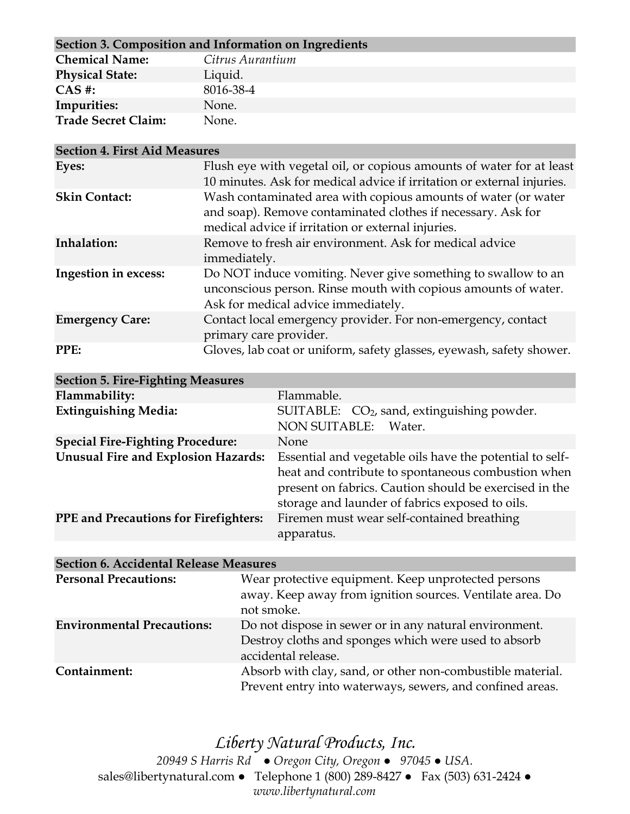| Section 3. Composition and Information on Ingredients |                  |  |
|-------------------------------------------------------|------------------|--|
| <b>Chemical Name:</b>                                 | Citrus Aurantium |  |
| <b>Physical State:</b>                                | Liquid.          |  |
| $CAS$ #:                                              | 8016-38-4        |  |
| Impurities:                                           | None.            |  |
| <b>Trade Secret Claim:</b>                            | None.            |  |

| <b>Section 4. First Aid Measures</b> |                                                                                                                                                                                      |
|--------------------------------------|--------------------------------------------------------------------------------------------------------------------------------------------------------------------------------------|
| Eyes:                                | Flush eye with vegetal oil, or copious amounts of water for at least<br>10 minutes. Ask for medical advice if irritation or external injuries.                                       |
| <b>Skin Contact:</b>                 | Wash contaminated area with copious amounts of water (or water<br>and soap). Remove contaminated clothes if necessary. Ask for<br>medical advice if irritation or external injuries. |
| Inhalation:                          | Remove to fresh air environment. Ask for medical advice<br>immediately.                                                                                                              |
| Ingestion in excess:                 | Do NOT induce vomiting. Never give something to swallow to an<br>unconscious person. Rinse mouth with copious amounts of water.<br>Ask for medical advice immediately.               |
| <b>Emergency Care:</b>               | Contact local emergency provider. For non-emergency, contact<br>primary care provider.                                                                                               |
| PPE:                                 | Gloves, lab coat or uniform, safety glasses, eyewash, safety shower.                                                                                                                 |

| <b>Section 5. Fire-Fighting Measures</b>     |                                                                                                                                                                                                                             |
|----------------------------------------------|-----------------------------------------------------------------------------------------------------------------------------------------------------------------------------------------------------------------------------|
| Flammability:                                | Flammable.                                                                                                                                                                                                                  |
| <b>Extinguishing Media:</b>                  | SUITABLE: CO <sub>2</sub> , sand, extinguishing powder.<br><b>NON SUITABLE:</b><br>Water.                                                                                                                                   |
| <b>Special Fire-Fighting Procedure:</b>      | None                                                                                                                                                                                                                        |
| <b>Unusual Fire and Explosion Hazards:</b>   | Essential and vegetable oils have the potential to self-<br>heat and contribute to spontaneous combustion when<br>present on fabrics. Caution should be exercised in the<br>storage and launder of fabrics exposed to oils. |
| <b>PPE</b> and Precautions for Firefighters: | Firemen must wear self-contained breathing<br>apparatus.                                                                                                                                                                    |
|                                              |                                                                                                                                                                                                                             |

| <b>Section 6. Accidental Release Measures</b> |                                                                                                                                       |  |
|-----------------------------------------------|---------------------------------------------------------------------------------------------------------------------------------------|--|
| <b>Personal Precautions:</b>                  | Wear protective equipment. Keep unprotected persons<br>away. Keep away from ignition sources. Ventilate area. Do<br>not smoke.        |  |
| <b>Environmental Precautions:</b>             | Do not dispose in sewer or in any natural environment.<br>Destroy cloths and sponges which were used to absorb<br>accidental release. |  |
| Containment:                                  | Absorb with clay, sand, or other non-combustible material.<br>Prevent entry into waterways, sewers, and confined areas.               |  |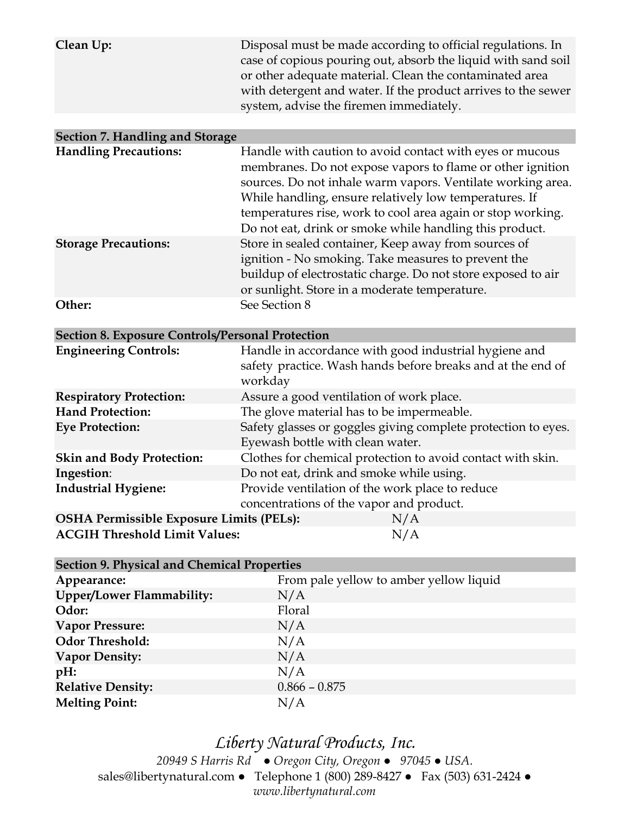| Clean Up:                                               | Disposal must be made according to official regulations. In<br>case of copious pouring out, absorb the liquid with sand soil<br>or other adequate material. Clean the contaminated area<br>with detergent and water. If the product arrives to the sewer<br>system, advise the firemen immediately.                                                                       |  |
|---------------------------------------------------------|---------------------------------------------------------------------------------------------------------------------------------------------------------------------------------------------------------------------------------------------------------------------------------------------------------------------------------------------------------------------------|--|
| <b>Section 7. Handling and Storage</b>                  |                                                                                                                                                                                                                                                                                                                                                                           |  |
| <b>Handling Precautions:</b>                            | Handle with caution to avoid contact with eyes or mucous<br>membranes. Do not expose vapors to flame or other ignition<br>sources. Do not inhale warm vapors. Ventilate working area.<br>While handling, ensure relatively low temperatures. If<br>temperatures rise, work to cool area again or stop working.<br>Do not eat, drink or smoke while handling this product. |  |
| <b>Storage Precautions:</b>                             | Store in sealed container, Keep away from sources of<br>ignition - No smoking. Take measures to prevent the<br>buildup of electrostatic charge. Do not store exposed to air<br>or sunlight. Store in a moderate temperature.                                                                                                                                              |  |
| Other:                                                  | See Section 8                                                                                                                                                                                                                                                                                                                                                             |  |
| <b>Section 8. Exposure Controls/Personal Protection</b> |                                                                                                                                                                                                                                                                                                                                                                           |  |
| <b>Engineering Controls:</b>                            | Handle in accordance with good industrial hygiene and<br>safety practice. Wash hands before breaks and at the end of<br>workday                                                                                                                                                                                                                                           |  |
| <b>Respiratory Protection:</b>                          | Assure a good ventilation of work place.                                                                                                                                                                                                                                                                                                                                  |  |
| <b>Hand Protection:</b>                                 | The glove material has to be impermeable.                                                                                                                                                                                                                                                                                                                                 |  |
| <b>Eye Protection:</b>                                  | Safety glasses or goggles giving complete protection to eyes.<br>Eyewash bottle with clean water.                                                                                                                                                                                                                                                                         |  |
| <b>Skin and Body Protection:</b>                        | Clothes for chemical protection to avoid contact with skin.                                                                                                                                                                                                                                                                                                               |  |
| Ingestion:                                              | Do not eat, drink and smoke while using.                                                                                                                                                                                                                                                                                                                                  |  |
| <b>Industrial Hygiene:</b>                              | Provide ventilation of the work place to reduce<br>concentrations of the vapor and product.                                                                                                                                                                                                                                                                               |  |
| <b>OSHA Permissible Exposure Limits (PELs):</b>         | N/A                                                                                                                                                                                                                                                                                                                                                                       |  |
| <b>ACGIH Threshold Limit Values:</b><br>N/A             |                                                                                                                                                                                                                                                                                                                                                                           |  |
| <b>Section 9. Physical and Chemical Properties</b>      |                                                                                                                                                                                                                                                                                                                                                                           |  |

| Appearance:                      | From pale yellow to amber yellow liquid |
|----------------------------------|-----------------------------------------|
| <b>Upper/Lower Flammability:</b> | N/A                                     |
| Odor:                            | Floral                                  |
| <b>Vapor Pressure:</b>           | N/A                                     |
| <b>Odor Threshold:</b>           | N/A                                     |
| <b>Vapor Density:</b>            | N/A                                     |
| pH:                              | N/A                                     |
| <b>Relative Density:</b>         | $0.866 - 0.875$                         |
| <b>Melting Point:</b>            | N/A                                     |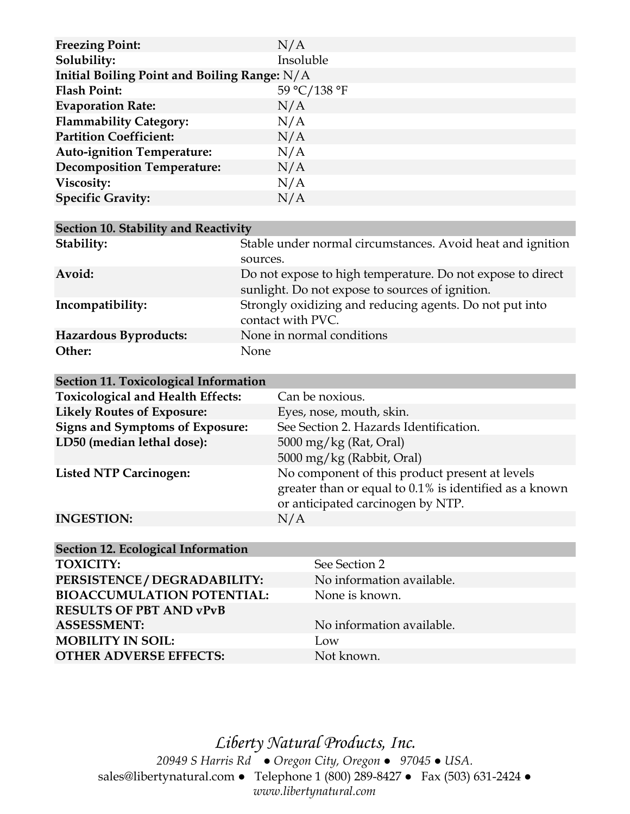| <b>Freezing Point:</b>                         | N/A          |
|------------------------------------------------|--------------|
| Solubility:                                    | Insoluble    |
| Initial Boiling Point and Boiling Range: $N/A$ |              |
| <b>Flash Point:</b>                            | 59 °C/138 °F |
| <b>Evaporation Rate:</b>                       | N/A          |
| <b>Flammability Category:</b>                  | N/A          |
| <b>Partition Coefficient:</b>                  | N/A          |
| <b>Auto-ignition Temperature:</b>              | N/A          |
| <b>Decomposition Temperature:</b>              | N/A          |
| Viscosity:                                     | N/A          |
| <b>Specific Gravity:</b>                       | N/A          |

| Section 10. Stability and Reactivity |                                                                                                               |  |
|--------------------------------------|---------------------------------------------------------------------------------------------------------------|--|
| Stability:                           | Stable under normal circumstances. Avoid heat and ignition<br>sources.                                        |  |
| Avoid:                               | Do not expose to high temperature. Do not expose to direct<br>sunlight. Do not expose to sources of ignition. |  |
| Incompatibility:                     | Strongly oxidizing and reducing agents. Do not put into<br>contact with PVC.                                  |  |
| Hazardous Byproducts:                | None in normal conditions                                                                                     |  |
| Other:                               | None                                                                                                          |  |

| Section 11. Toxicological Information    |                                                        |
|------------------------------------------|--------------------------------------------------------|
| <b>Toxicological and Health Effects:</b> | Can be noxious.                                        |
| <b>Likely Routes of Exposure:</b>        | Eyes, nose, mouth, skin.                               |
| <b>Signs and Symptoms of Exposure:</b>   | See Section 2. Hazards Identification.                 |
| LD50 (median lethal dose):               | $5000 \,\mathrm{mg/kg}$ (Rat, Oral)                    |
|                                          | 5000 mg/kg (Rabbit, Oral)                              |
| <b>Listed NTP Carcinogen:</b>            | No component of this product present at levels         |
|                                          | greater than or equal to 0.1% is identified as a known |
|                                          | or anticipated carcinogen by NTP.                      |
| <b>INGESTION:</b>                        | N/A                                                    |

| Section 12. Ecological Information |                           |
|------------------------------------|---------------------------|
| <b>TOXICITY:</b>                   | See Section 2             |
| PERSISTENCE / DEGRADABILITY:       | No information available. |
| <b>BIOACCUMULATION POTENTIAL:</b>  | None is known.            |
| <b>RESULTS OF PBT AND vPvB</b>     |                           |
| <b>ASSESSMENT:</b>                 | No information available. |
| <b>MOBILITY IN SOIL:</b>           | Low                       |
| <b>OTHER ADVERSE EFFECTS:</b>      | Not known.                |